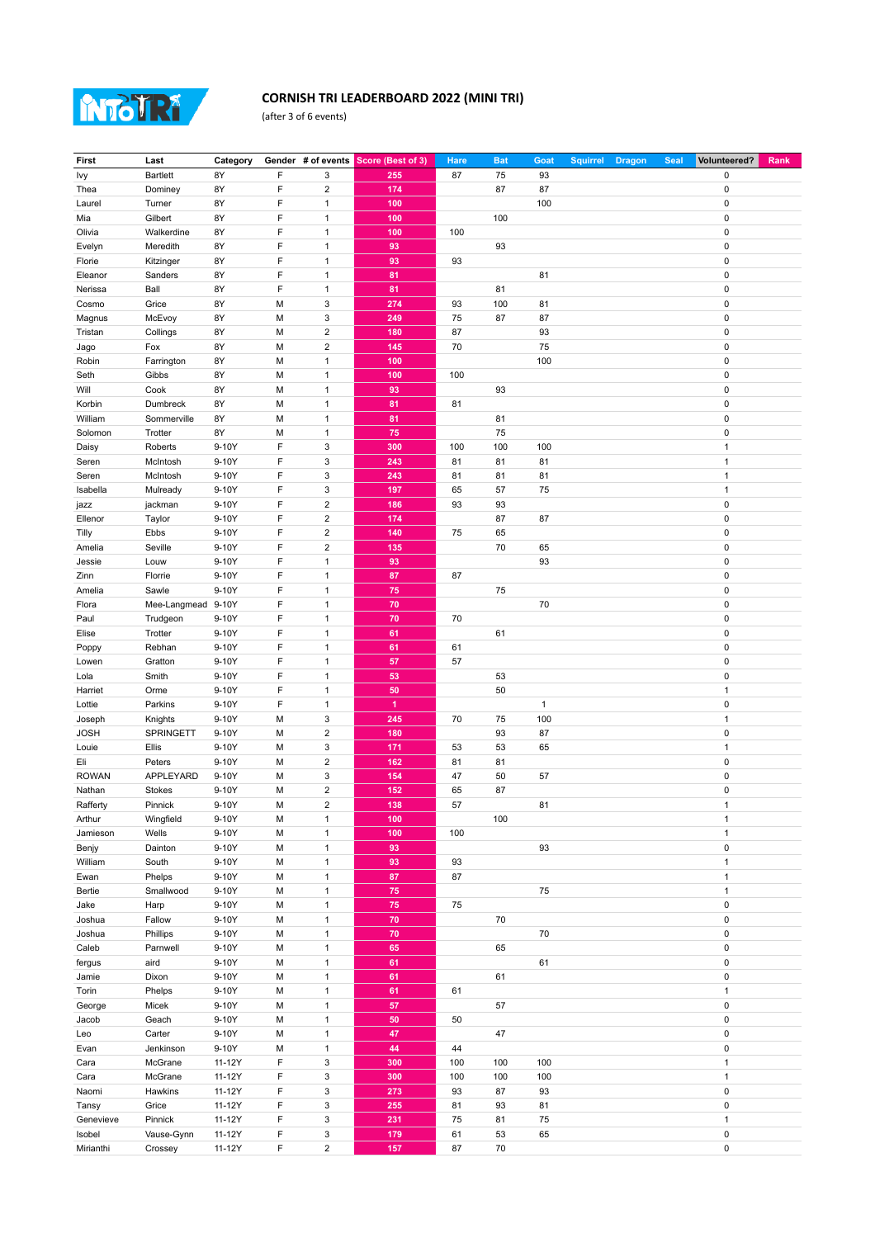

## **CORNISH TRI LEADERBOARD 2022 (MINI TRI)**

(after 3 of 6 events)

| <b>First</b> | Last               | Category |   |                         | Gender # of events Score (Best of 3) | Hare | <b>Bat</b> | Goat         | <b>Squirrel</b> | <b>Dragon</b> | <b>Seal</b> | Volunteered? | Rank |
|--------------|--------------------|----------|---|-------------------------|--------------------------------------|------|------------|--------------|-----------------|---------------|-------------|--------------|------|
| Ivy          | <b>Bartlett</b>    | 8Y       | F | 3                       | 255                                  | 87   | 75         | 93           |                 |               |             | 0            |      |
| Thea         | Dominey            | 8Y       | F | $\overline{\mathbf{c}}$ | 174                                  |      | 87         | 87           |                 |               |             | 0            |      |
|              | Turner             | 8Y       | F | $\mathbf{1}$            | 100                                  |      |            | 100          |                 |               |             | $\mathbf 0$  |      |
| Laurel       |                    |          |   |                         |                                      |      |            |              |                 |               |             |              |      |
| Mia          | Gilbert            | 8Y       | F | $\mathbf{1}$            | 100                                  |      | 100        |              |                 |               |             | 0            |      |
| Olivia       | Walkerdine         | 8Y       | F | $\mathbf{1}$            | 100                                  | 100  |            |              |                 |               |             | 0            |      |
| Evelyn       | Meredith           | 8Y       | F | $\mathbf{1}$            | 93                                   |      | 93         |              |                 |               |             | 0            |      |
| Florie       | Kitzinger          | 8Y       | F | $\mathbf{1}$            | 93                                   | 93   |            |              |                 |               |             | 0            |      |
| Eleanor      | Sanders            | 8Y       | F | $\mathbf{1}$            | 81                                   |      |            | 81           |                 |               |             | 0            |      |
| Nerissa      | Ball               | 8Y       | F | $\mathbf{1}$            | 81                                   |      | 81         |              |                 |               |             | 0            |      |
| Cosmo        | Grice              | 8Y       | М | 3                       | 274                                  | 93   | 100        | 81           |                 |               |             | 0            |      |
| Magnus       | McEvoy             | 8Y       | M | 3                       | 249                                  | 75   | 87         | 87           |                 |               |             | 0            |      |
| Tristan      | Collings           | 8Y       | М | $\overline{\mathbf{c}}$ | 180                                  | 87   |            | 93           |                 |               |             | 0            |      |
|              |                    |          |   |                         |                                      |      |            |              |                 |               |             |              |      |
| Jago         | Fox                | 8Y       | M | $\overline{\mathbf{c}}$ | 145                                  | 70   |            | 75           |                 |               |             | 0            |      |
| Robin        | Farrington         | 8Y       | М | $\mathbf{1}$            | 100                                  |      |            | 100          |                 |               |             | 0            |      |
| Seth         | Gibbs              | 8Y       | M | $\mathbf{1}$            | 100                                  | 100  |            |              |                 |               |             | 0            |      |
| Will         | Cook               | 8Y       | М | $\mathbf{1}$            | 93                                   |      | 93         |              |                 |               |             | 0            |      |
| Korbin       | Dumbreck           | 8Y       | M | $\mathbf{1}$            | 81                                   | 81   |            |              |                 |               |             | 0            |      |
| William      | Sommerville        | 8Y       | М | $\mathbf{1}$            | 81                                   |      | 81         |              |                 |               |             | 0            |      |
| Solomon      | Trotter            | 8Y       | M | $\mathbf{1}$            | 75                                   |      | 75         |              |                 |               |             | 0            |      |
| Daisy        | Roberts            | 9-10Y    | F | 3                       | 300                                  | 100  | 100        | 100          |                 |               |             | 1            |      |
| Seren        | McIntosh           | 9-10Y    | F | 3                       | 243                                  | 81   | 81         | 81           |                 |               |             | $\mathbf{1}$ |      |
| Seren        | McIntosh           | 9-10Y    | F | 3                       | 243                                  | 81   | 81         | 81           |                 |               |             | 1            |      |
| Isabella     | Mulready           | 9-10Y    | F | 3                       | 197                                  | 65   | 57         | 75           |                 |               |             | $\mathbf{1}$ |      |
|              |                    |          |   |                         |                                      |      |            |              |                 |               |             |              |      |
| jazz         | jackman            | 9-10Y    | F | $\overline{\mathbf{c}}$ | 186                                  | 93   | 93         |              |                 |               |             | 0            |      |
| Ellenor      | Taylor             | 9-10Y    | F | $\overline{\mathbf{c}}$ | 174                                  |      | 87         | 87           |                 |               |             | 0            |      |
| Tilly        | Ebbs               | 9-10Y    | F | $\overline{\mathbf{c}}$ | 140                                  | 75   | 65         |              |                 |               |             | 0            |      |
| Amelia       | Seville            | 9-10Y    | F | $\overline{\mathbf{c}}$ | 135                                  |      | 70         | 65           |                 |               |             | 0            |      |
| Jessie       | Louw               | 9-10Y    | F | $\mathbf{1}$            | 93                                   |      |            | 93           |                 |               |             | 0            |      |
| Zinn         | Florrie            | 9-10Y    | F | $\mathbf{1}$            | 87                                   | 87   |            |              |                 |               |             | 0            |      |
| Amelia       | Sawle              | 9-10Y    | F | $\mathbf{1}$            | 75                                   |      | 75         |              |                 |               |             | 0            |      |
| Flora        | Mee-Langmead 9-10Y |          | F | $\mathbf{1}$            | 70                                   |      |            | 70           |                 |               |             | 0            |      |
| Paul         | Trudgeon           | 9-10Y    | F | $\mathbf{1}$            | 70                                   | 70   |            |              |                 |               |             | 0            |      |
| Elise        | Trotter            | 9-10Y    | F | $\mathbf{1}$            | 61                                   |      | 61         |              |                 |               |             | 0            |      |
|              | Rebhan             | 9-10Y    | F | $\mathbf{1}$            | 61                                   | 61   |            |              |                 |               |             | 0            |      |
| Poppy        |                    |          |   |                         |                                      |      |            |              |                 |               |             |              |      |
| Lowen        | Gratton            | 9-10Y    | F | $\mathbf{1}$            | 57                                   | 57   |            |              |                 |               |             | 0            |      |
| Lola         | Smith              | 9-10Y    | F | $\mathbf{1}$            | 53                                   |      | 53         |              |                 |               |             | 0            |      |
| Harriet      | Orme               | 9-10Y    | F | $\mathbf{1}$            | 50                                   |      | 50         |              |                 |               |             | $\mathbf{1}$ |      |
| Lottie       | Parkins            | 9-10Y    | F | $\mathbf{1}$            | $\mathbf{1}$                         |      |            | $\mathbf{1}$ |                 |               |             | 0            |      |
| Joseph       | Knights            | 9-10Y    | М | 3                       | 245                                  | 70   | 75         | 100          |                 |               |             | 1            |      |
| <b>JOSH</b>  | SPRINGETT          | 9-10Y    | M | $\overline{\mathbf{c}}$ | 180                                  |      | 93         | 87           |                 |               |             | 0            |      |
| Louie        | Ellis              | 9-10Y    | М | 3                       | 171                                  | 53   | 53         | 65           |                 |               |             | 1            |      |
| Eli          | Peters             | 9-10Y    | M | $\overline{\mathbf{c}}$ | 162                                  | 81   | 81         |              |                 |               |             | 0            |      |
| <b>ROWAN</b> | APPLEYARD          | 9-10Y    | М | 3                       | 154                                  | 47   | 50         | 57           |                 |               |             | 0            |      |
| Nathan       | Stokes             | 9-10Y    | M | $\overline{\mathbf{c}}$ | 152                                  | 65   | 87         |              |                 |               |             | 0            |      |
| Rafferty     | Pinnick            | 9-10Y    | M | $\overline{2}$          | 138                                  | 57   |            | 81           |                 |               |             | $\mathbf{1}$ |      |
|              | Wingfield          |          |   |                         | 100                                  |      | 100        |              |                 |               |             |              |      |
| Arthur       |                    | 9-10Y    | м | 1                       |                                      |      |            |              |                 |               |             | 1            |      |
| Jamieson     | Wells              | 9-10Y    | М | $\mathbf{1}$            | 100                                  | 100  |            |              |                 |               |             | $\mathbf{1}$ |      |
| Benjy        | Dainton            | 9-10Y    | М | $\mathbf{1}$            | 93                                   |      |            | 93           |                 |               |             | 0            |      |
| William      | South              | 9-10Y    | М | $\mathbf{1}$            | 93                                   | 93   |            |              |                 |               |             | $\mathbf{1}$ |      |
| Ewan         | Phelps             | 9-10Y    | М | $\mathbf{1}$            | 87                                   | 87   |            |              |                 |               |             | $\mathbf{1}$ |      |
| Bertie       | Smallwood          | 9-10Y    | М | $\mathbf{1}$            | 75                                   |      |            | 75           |                 |               |             | $\mathbf{1}$ |      |
| Jake         | Harp               | 9-10Y    | М | $\mathbf{1}$            | 75                                   | 75   |            |              |                 |               |             | 0            |      |
| Joshua       | Fallow             | 9-10Y    | М | $\mathbf{1}$            | 70                                   |      | 70         |              |                 |               |             | 0            |      |
| Joshua       | Phillips           | 9-10Y    | М | $\mathbf{1}$            | 70                                   |      |            | 70           |                 |               |             | 0            |      |
| Caleb        | Parnwell           | 9-10Y    | М | $\mathbf{1}$            | 65                                   |      | 65         |              |                 |               |             | 0            |      |
| fergus       | aird               | 9-10Y    | М | $\mathbf{1}$            | 61                                   |      |            | 61           |                 |               |             | 0            |      |
| Jamie        | Dixon              | 9-10Y    | М | $\mathbf{1}$            | 61                                   |      | 61         |              |                 |               |             | 0            |      |
|              |                    |          |   |                         |                                      |      |            |              |                 |               |             | $\mathbf{1}$ |      |
| Torin        | Phelps             | 9-10Y    | М | $\mathbf{1}$            | 61                                   | 61   |            |              |                 |               |             |              |      |
| George       | Micek              | 9-10Y    | М | $\mathbf{1}$            | 57                                   |      | 57         |              |                 |               |             | 0            |      |
| Jacob        | Geach              | 9-10Y    | М | $\mathbf{1}$            | 50                                   | 50   |            |              |                 |               |             | 0            |      |
| Leo          | Carter             | 9-10Y    | М | $\mathbf{1}$            | 47                                   |      | 47         |              |                 |               |             | 0            |      |
| Evan         | Jenkinson          | 9-10Y    | М | $\mathbf{1}$            | 44                                   | 44   |            |              |                 |               |             | 0            |      |
| Cara         | McGrane            | 11-12Y   | F | 3                       | 300                                  | 100  | 100        | 100          |                 |               |             | $\mathbf{1}$ |      |
| Cara         | McGrane            | 11-12Y   | F | 3                       | 300                                  | 100  | 100        | 100          |                 |               |             | $\mathbf{1}$ |      |
| Naomi        | Hawkins            | 11-12Y   | F | 3                       | 273                                  | 93   | 87         | 93           |                 |               |             | 0            |      |
| Tansy        | Grice              | 11-12Y   | F | 3                       | 255                                  | 81   | 93         | 81           |                 |               |             | 0            |      |
| Genevieve    | Pinnick            | 11-12Y   | F | 3                       | 231                                  | 75   | 81         | 75           |                 |               |             | $\mathbf{1}$ |      |
| Isobel       | Vause-Gynn         | 11-12Y   | F | 3                       | 179                                  | 61   | 53         | 65           |                 |               |             | 0            |      |
| Mirianthi    | Crossey            | 11-12Y   | F | $\overline{2}$          | 157                                  | 87   | 70         |              |                 |               |             | 0            |      |
|              |                    |          |   |                         |                                      |      |            |              |                 |               |             |              |      |